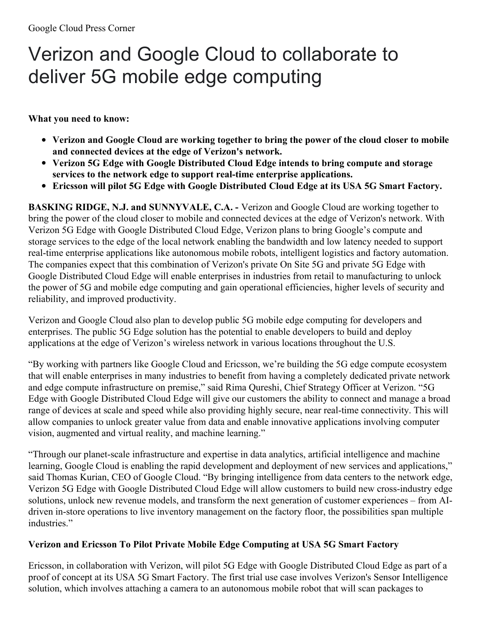## Verizon and Google Cloud to collaborate to deliver 5G mobile edge computing

**What you need to know:**

- **Verizon and Google Cloud are working together to bring the power of the cloud closer to mobile and connected devices at the edge of Verizon's network.**
- **Verizon 5G Edge with Google Distributed Cloud Edge intends to bring compute and storage services to the network edge to support real-time enterprise applications.**
- **Ericsson will pilot 5G Edge with Google Distributed Cloud Edge at its USA 5G Smart Factory.**

**BASKING RIDGE, N.J. and SUNNYVALE, C.A. -** Verizon and Google Cloud are working together to bring the power of the cloud closer to mobile and connected devices at the edge of Verizon's network. With Verizon 5G Edge with Google Distributed Cloud Edge, Verizon plans to bring Google's compute and storage services to the edge of the local network enabling the bandwidth and low latency needed to support real-time enterprise applications like autonomous mobile robots, intelligent logistics and factory automation. The companies expect that this combination of Verizon's private On Site 5G and private 5G Edge with Google Distributed Cloud Edge will enable enterprises in industries from retail to manufacturing to unlock the power of 5G and mobile edge computing and gain operational efficiencies, higher levels of security and reliability, and improved productivity.

Verizon and Google Cloud also plan to develop public 5G mobile edge computing for developers and enterprises. The public 5G Edge solution has the potential to enable developers to build and deploy applications at the edge of Verizon's wireless network in various locations throughout the U.S.

"By working with partners like Google Cloud and Ericsson, we're building the 5G edge compute ecosystem that will enable enterprises in many industries to benefit from having a completely dedicated private network and edge compute infrastructure on premise," said Rima Qureshi, Chief Strategy Officer at Verizon. "5G Edge with Google Distributed Cloud Edge will give our customers the ability to connect and manage a broad range of devices at scale and speed while also providing highly secure, near real-time connectivity. This will allow companies to unlock greater value from data and enable innovative applications involving computer vision, augmented and virtual reality, and machine learning."

"Through our planet-scale infrastructure and expertise in data analytics, artificial intelligence and machine learning, Google Cloud is enabling the rapid development and deployment of new services and applications," said Thomas Kurian, CEO of Google Cloud. "By bringing intelligence from data centers to the network edge, Verizon 5G Edge with Google Distributed Cloud Edge will allow customers to build new cross-industry edge solutions, unlock new revenue models, and transform the next generation of customer experiences – from AIdriven in-store operations to live inventory management on the factory floor, the possibilities span multiple industries."

## **Verizon and Ericsson To Pilot Private Mobile Edge Computing at USA 5G Smart Factory**

Ericsson, in collaboration with Verizon, will pilot 5G Edge with Google Distributed Cloud Edge as part of a proof of concept at its USA 5G Smart Factory. The first trial use case involves Verizon's Sensor Intelligence solution, which involves attaching a camera to an autonomous mobile robot that will scan packages to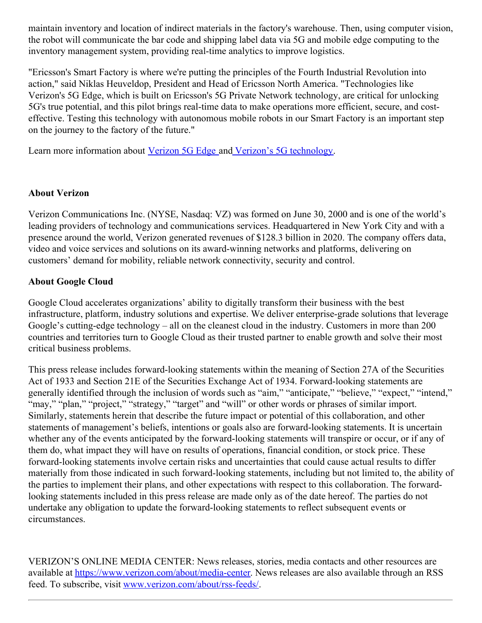maintain inventory and location of indirect materials in the factory's warehouse. Then, using computer vision, the robot will communicate the bar code and shipping label data via 5G and mobile edge computing to the inventory management system, providing real-time analytics to improve logistics.

"Ericsson's Smart Factory is where we're putting the principles of the Fourth Industrial Revolution into action," said Niklas Heuveldop, President and Head of Ericsson North America. "Technologies like Verizon's 5G Edge, which is built on Ericsson's 5G Private Network technology, are critical for unlocking 5G's true potential, and this pilot brings real-time data to make operations more efficient, secure, and costeffective. Testing this technology with autonomous mobile robots in our Smart Factory is an important step on the journey to the factory of the future."

Learn more information about [Verizon](https://www.verizon.com/business/solutions/5g/edge-computing/) 5G Edge and Verizon's 5G [technology](https://www.verizon.com/about/our-company/5g).

## **About Verizon**

Verizon Communications Inc. (NYSE, Nasdaq: VZ) was formed on June 30, 2000 and is one of the world's leading providers of technology and communications services. Headquartered in New York City and with a presence around the world, Verizon generated revenues of \$128.3 billion in 2020. The company offers data, video and voice services and solutions on its award-winning networks and platforms, delivering on customers' demand for mobility, reliable network connectivity, security and control.

## **About Google Cloud**

Google Cloud accelerates organizations' ability to digitally transform their business with the best infrastructure, platform, industry solutions and expertise. We deliver enterprise-grade solutions that leverage Google's cutting-edge technology – all on the cleanest cloud in the industry. Customers in more than 200 countries and territories turn to Google Cloud as their trusted partner to enable growth and solve their most critical business problems.

This press release includes forward-looking statements within the meaning of Section 27A of the Securities Act of 1933 and Section 21E of the Securities Exchange Act of 1934. Forward-looking statements are generally identified through the inclusion of words such as "aim," "anticipate," "believe," "expect," "intend," "may," "plan," "project," "strategy," "target" and "will" or other words or phrases of similar import. Similarly, statements herein that describe the future impact or potential of this collaboration, and other statements of management's beliefs, intentions or goals also are forward-looking statements. It is uncertain whether any of the events anticipated by the forward-looking statements will transpire or occur, or if any of them do, what impact they will have on results of operations, financial condition, or stock price. These forward-looking statements involve certain risks and uncertainties that could cause actual results to differ materially from those indicated in such forward-looking statements, including but not limited to, the ability of the parties to implement their plans, and other expectations with respect to this collaboration. The forwardlooking statements included in this press release are made only as of the date hereof. The parties do not undertake any obligation to update the forward-looking statements to reflect subsequent events or circumstances.

VERIZON'S ONLINE MEDIA CENTER: News releases, stories, media contacts and other resources are available at <https://www.verizon.com/about/media-center>. News releases are also available through an RSS feed. To subscribe, visit [www.verizon.com/about/rss-feeds/](http://www.verizon.com/about/rss-feeds).